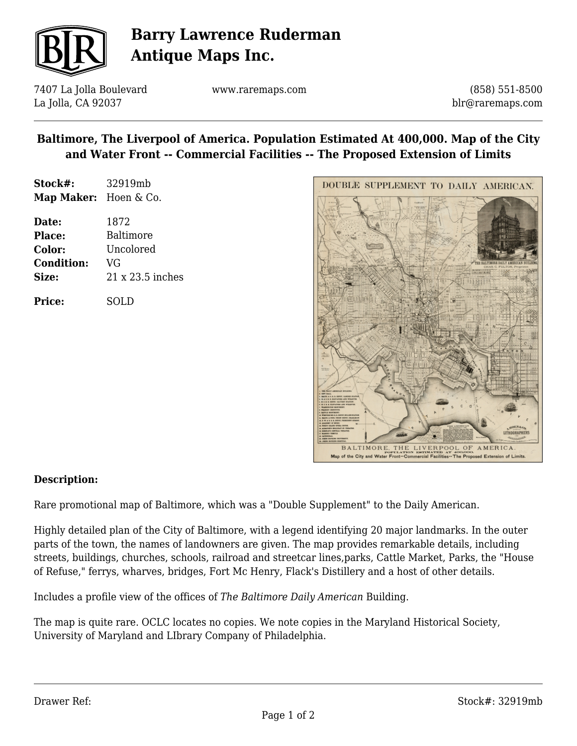

# **Barry Lawrence Ruderman Antique Maps Inc.**

7407 La Jolla Boulevard La Jolla, CA 92037

www.raremaps.com

(858) 551-8500 blr@raremaps.com

### **Baltimore, The Liverpool of America. Population Estimated At 400,000. Map of the City and Water Front -- Commercial Facilities -- The Proposed Extension of Limits**

| Stock#:               | 32919mb |
|-----------------------|---------|
| Map Maker: Hoen & Co. |         |

| Date:             | 1872             |
|-------------------|------------------|
| <b>Place:</b>     | Baltimore        |
| Color:            | Uncolored        |
| <b>Condition:</b> | VG               |
| Size:             | 21 x 23.5 inches |
|                   |                  |

**Price:** SOLD



#### **Description:**

Rare promotional map of Baltimore, which was a "Double Supplement" to the Daily American.

Highly detailed plan of the City of Baltimore, with a legend identifying 20 major landmarks. In the outer parts of the town, the names of landowners are given. The map provides remarkable details, including streets, buildings, churches, schools, railroad and streetcar lines,parks, Cattle Market, Parks, the "House of Refuse," ferrys, wharves, bridges, Fort Mc Henry, Flack's Distillery and a host of other details.

Includes a profile view of the offices of *The Baltimore Daily American* Building.

The map is quite rare. OCLC locates no copies. We note copies in the Maryland Historical Society, University of Maryland and LIbrary Company of Philadelphia.